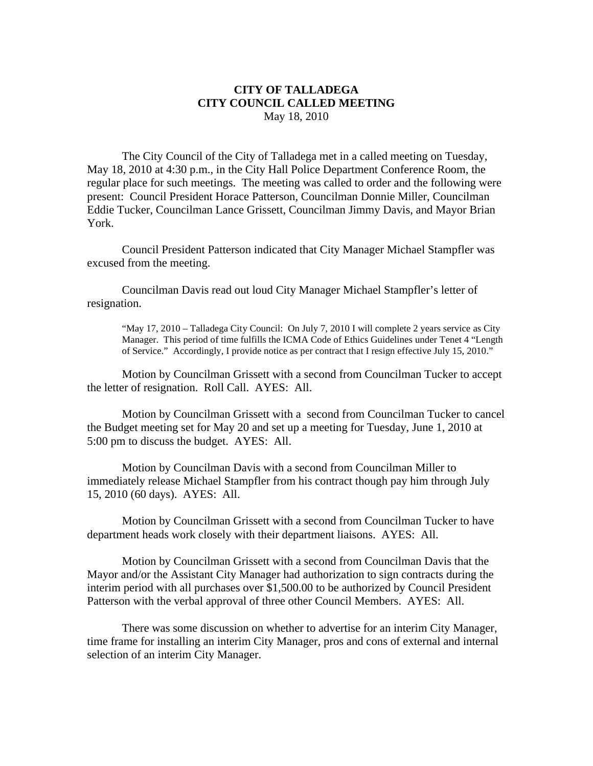## **CITY OF TALLADEGA CITY COUNCIL CALLED MEETING** May 18, 2010

The City Council of the City of Talladega met in a called meeting on Tuesday, May 18, 2010 at 4:30 p.m., in the City Hall Police Department Conference Room, the regular place for such meetings. The meeting was called to order and the following were present: Council President Horace Patterson, Councilman Donnie Miller, Councilman Eddie Tucker, Councilman Lance Grissett, Councilman Jimmy Davis, and Mayor Brian York.

Council President Patterson indicated that City Manager Michael Stampfler was excused from the meeting.

Councilman Davis read out loud City Manager Michael Stampfler's letter of resignation.

"May 17, 2010 – Talladega City Council: On July 7, 2010 I will complete 2 years service as City Manager. This period of time fulfills the ICMA Code of Ethics Guidelines under Tenet 4 "Length of Service." Accordingly, I provide notice as per contract that I resign effective July 15, 2010."

Motion by Councilman Grissett with a second from Councilman Tucker to accept the letter of resignation. Roll Call. AYES: All.

Motion by Councilman Grissett with a second from Councilman Tucker to cancel the Budget meeting set for May 20 and set up a meeting for Tuesday, June 1, 2010 at 5:00 pm to discuss the budget. AYES: All.

Motion by Councilman Davis with a second from Councilman Miller to immediately release Michael Stampfler from his contract though pay him through July 15, 2010 (60 days). AYES: All.

Motion by Councilman Grissett with a second from Councilman Tucker to have department heads work closely with their department liaisons. AYES: All.

Motion by Councilman Grissett with a second from Councilman Davis that the Mayor and/or the Assistant City Manager had authorization to sign contracts during the interim period with all purchases over \$1,500.00 to be authorized by Council President Patterson with the verbal approval of three other Council Members. AYES: All.

There was some discussion on whether to advertise for an interim City Manager, time frame for installing an interim City Manager, pros and cons of external and internal selection of an interim City Manager.